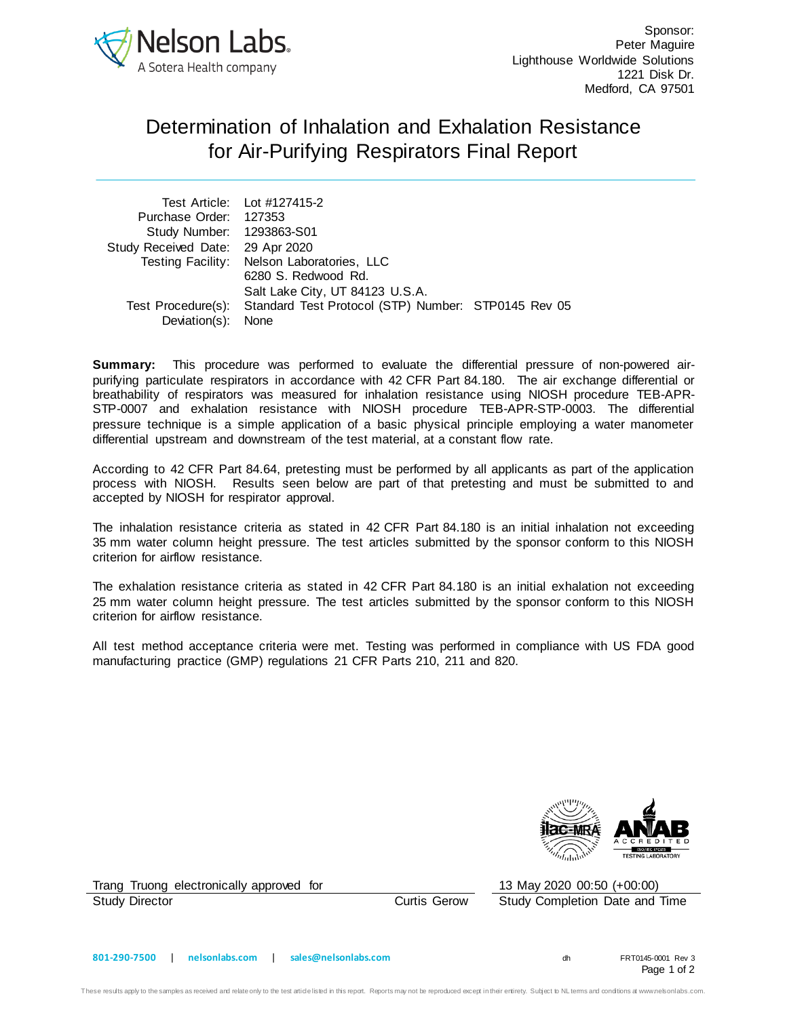

## Determination of Inhalation and Exhalation Resistance for Air-Purifying Respirators Final Report

|                                  | Test Article: Lot #127415-2                                            |  |
|----------------------------------|------------------------------------------------------------------------|--|
| Purchase Order: 127353           |                                                                        |  |
| Study Number: 1293863-S01        |                                                                        |  |
| Study Received Date: 29 Apr 2020 |                                                                        |  |
|                                  | Testing Facility: Nelson Laboratories, LLC                             |  |
|                                  | 6280 S. Redwood Rd.                                                    |  |
|                                  | Salt Lake City, UT 84123 U.S.A.                                        |  |
|                                  | Test Procedure(s): Standard Test Protocol (STP) Number: STP0145 Rev 05 |  |
| Deviation(s): None               |                                                                        |  |

**Summary:** This procedure was performed to evaluate the differential pressure of non-powered airpurifying particulate respirators in accordance with 42 CFR Part 84.180. The air exchange differential or breathability of respirators was measured for inhalation resistance using NIOSH procedure TEB-APR-STP-0007 and exhalation resistance with NIOSH procedure TEB-APR-STP-0003. The differential pressure technique is a simple application of a basic physical principle employing a water manometer differential upstream and downstream of the test material, at a constant flow rate.

According to 42 CFR Part 84.64, pretesting must be performed by all applicants as part of the application process with NIOSH. Results seen below are part of that pretesting and must be submitted to and accepted by NIOSH for respirator approval.

The inhalation resistance criteria as stated in 42 CFR Part 84.180 is an initial inhalation not exceeding 35 mm water column height pressure. The test articles submitted by the sponsor conform to this NIOSH criterion for airflow resistance.

The exhalation resistance criteria as stated in 42 CFR Part 84.180 is an initial exhalation not exceeding 25 mm water column height pressure. The test articles submitted by the sponsor conform to this NIOSH criterion for airflow resistance.

All test method acceptance criteria were met. Testing was performed in compliance with US FDA good manufacturing practice (GMP) regulations 21 CFR Parts 210, 211 and 820.



Trang Truong electronically approved for 13 May 2020 00:50 (+00:00) Study Director Curtis Gerow Study Completion Date and Time